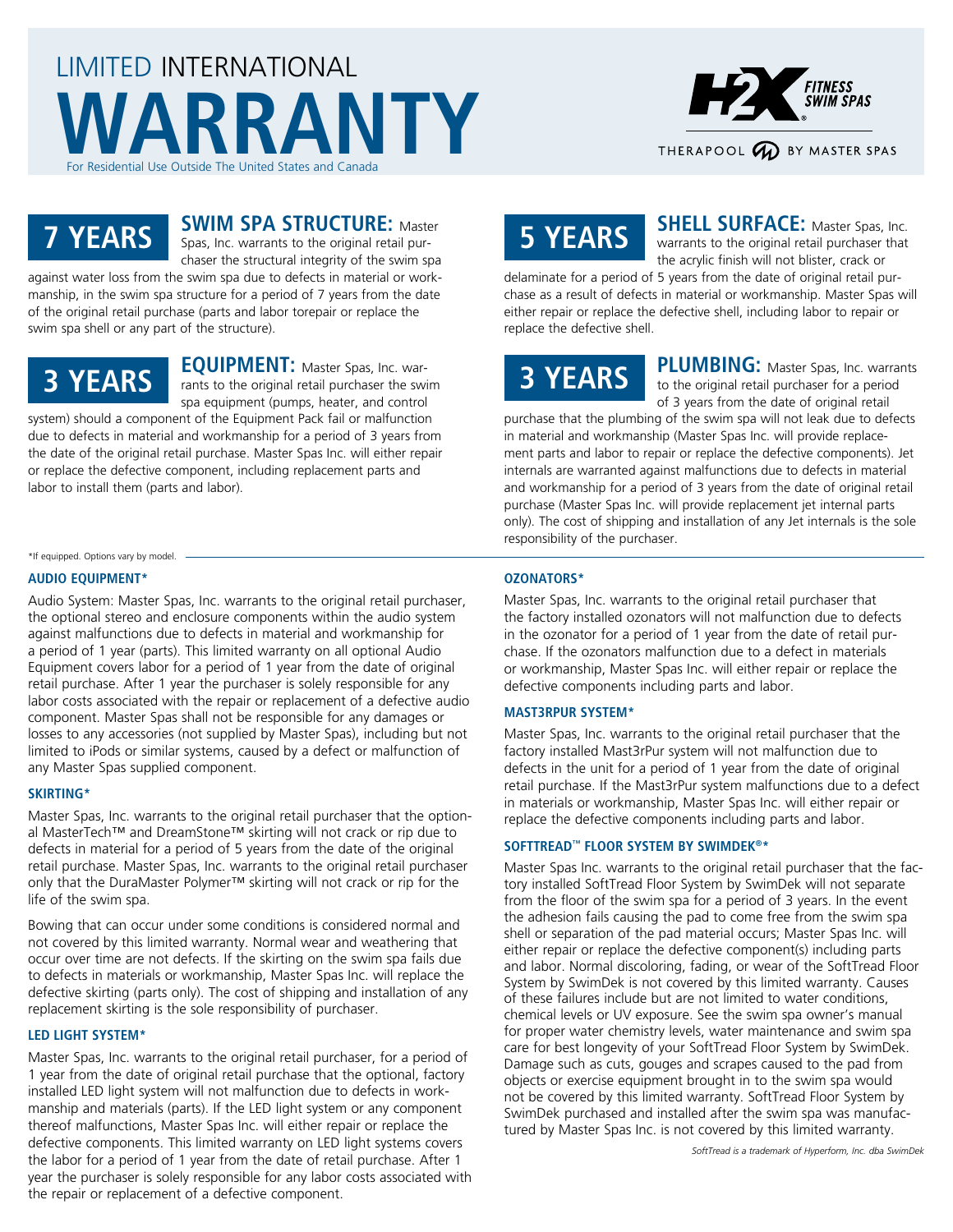# LIMITED INTERNATIONAL **WARRANTY** For Residential Use Outside The United States and Canada



### **7 YEARS**

#### **SWIM SPA STRUCTURE: Master** Spas, Inc. warrants to the original retail pur-

chaser the structural integrity of the swim spa against water loss from the swim spa due to defects in material or workmanship, in the swim spa structure for a period of 7 years from the date

of the original retail purchase (parts and labor torepair or replace the swim spa shell or any part of the structure).

## **3 YEARS**

**EQUIPMENT:** Master Spas, Inc. warrants to the original retail purchaser the swim spa equipment (pumps, heater, and control system) should a component of the Equipment Pack fail or malfunction

due to defects in material and workmanship for a period of 3 years from the date of the original retail purchase. Master Spas Inc. will either repair or replace the defective component, including replacement parts and labor to install them (parts and labor).

\*If equipped. Options vary by model. -

### **AUDIO EQUIPMENT\***

Audio System: Master Spas, Inc. warrants to the original retail purchaser, the optional stereo and enclosure components within the audio system against malfunctions due to defects in material and workmanship for a period of 1 year (parts). This limited warranty on all optional Audio Equipment covers labor for a period of 1 year from the date of original retail purchase. After 1 year the purchaser is solely responsible for any labor costs associated with the repair or replacement of a defective audio component. Master Spas shall not be responsible for any damages or losses to any accessories (not supplied by Master Spas), including but not limited to iPods or similar systems, caused by a defect or malfunction of any Master Spas supplied component.

### **SKIRTING\***

Master Spas, Inc. warrants to the original retail purchaser that the optional MasterTech™ and DreamStone™ skirting will not crack or rip due to defects in material for a period of 5 years from the date of the original retail purchase. Master Spas, Inc. warrants to the original retail purchaser only that the DuraMaster Polymer™ skirting will not crack or rip for the life of the swim spa.

Bowing that can occur under some conditions is considered normal and not covered by this limited warranty. Normal wear and weathering that occur over time are not defects. If the skirting on the swim spa fails due to defects in materials or workmanship, Master Spas Inc. will replace the defective skirting (parts only). The cost of shipping and installation of any replacement skirting is the sole responsibility of purchaser.

### **LED LIGHT SYSTEM\***

Master Spas, Inc. warrants to the original retail purchaser, for a period of 1 year from the date of original retail purchase that the optional, factory installed LED light system will not malfunction due to defects in workmanship and materials (parts). If the LED light system or any component thereof malfunctions, Master Spas Inc. will either repair or replace the defective components. This limited warranty on LED light systems covers the labor for a period of 1 year from the date of retail purchase. After 1 year the purchaser is solely responsible for any labor costs associated with the repair or replacement of a defective component.

# **5 YEARS**

**SHELL SURFACE:** Master Spas, Inc. warrants to the original retail purchaser that the acrylic finish will not blister, crack or

delaminate for a period of 5 years from the date of original retail purchase as a result of defects in material or workmanship. Master Spas will either repair or replace the defective shell, including labor to repair or replace the defective shell.

# **3 YEARS**

PLUMBING: Master Spas, Inc. warrants to the original retail purchaser for a period of 3 years from the date of original retail

purchase that the plumbing of the swim spa will not leak due to defects in material and workmanship (Master Spas Inc. will provide replacement parts and labor to repair or replace the defective components). Jet internals are warranted against malfunctions due to defects in material and workmanship for a period of 3 years from the date of original retail purchase (Master Spas Inc. will provide replacement jet internal parts only). The cost of shipping and installation of any Jet internals is the sole responsibility of the purchaser.

### **OZONATORS\***

Master Spas, Inc. warrants to the original retail purchaser that the factory installed ozonators will not malfunction due to defects in the ozonator for a period of 1 year from the date of retail purchase. If the ozonators malfunction due to a defect in materials or workmanship, Master Spas Inc. will either repair or replace the defective components including parts and labor.

### **MAST3RPUR SYSTEM\***

Master Spas, Inc. warrants to the original retail purchaser that the factory installed Mast3rPur system will not malfunction due to defects in the unit for a period of 1 year from the date of original retail purchase. If the Mast3rPur system malfunctions due to a defect in materials or workmanship, Master Spas Inc. will either repair or replace the defective components including parts and labor.

### **SOFTTREAD™ FLOOR SYSTEM BY SWIMDEK®\***

Master Spas Inc. warrants to the original retail purchaser that the factory installed SoftTread Floor System by SwimDek will not separate from the floor of the swim spa for a period of 3 years. In the event the adhesion fails causing the pad to come free from the swim spa shell or separation of the pad material occurs; Master Spas Inc. will either repair or replace the defective component(s) including parts and labor. Normal discoloring, fading, or wear of the SoftTread Floor System by SwimDek is not covered by this limited warranty. Causes of these failures include but are not limited to water conditions, chemical levels or UV exposure. See the swim spa owner's manual for proper water chemistry levels, water maintenance and swim spa care for best longevity of your SoftTread Floor System by SwimDek. Damage such as cuts, gouges and scrapes caused to the pad from objects or exercise equipment brought in to the swim spa would not be covered by this limited warranty. SoftTread Floor System by SwimDek purchased and installed after the swim spa was manufactured by Master Spas Inc. is not covered by this limited warranty.

*SoftTread is a trademark of Hyperform, Inc. dba SwimDek*